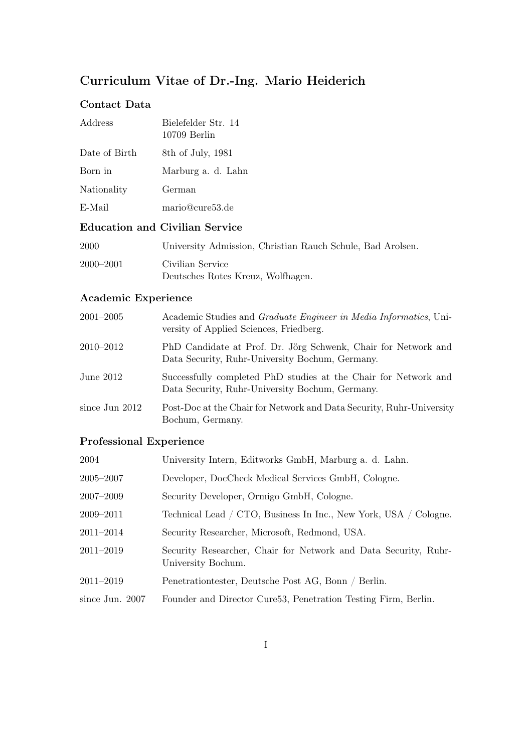# Curriculum Vitae of Dr.-Ing. Mario Heiderich

### Contact Data

| Address       | Bielefelder Str. 14<br>$10709$ Berlin |
|---------------|---------------------------------------|
| Date of Birth | 8th of July, 1981                     |
| Born in       | Marburg a. d. Lahn                    |
| Nationality   | German                                |
| E-Mail        | mario@cure53.de                       |
|               |                                       |

## Education and Civilian Service

| 2000          | University Admission, Christian Rauch Schule, Bad Arolsen. |
|---------------|------------------------------------------------------------|
| $2000 - 2001$ | Civilian Service                                           |
|               | Deutsches Rotes Kreuz, Wolfhagen.                          |

## Academic Experience

| $2001 - 2005$  | Academic Studies and Graduate Engineer in Media Informatics, Uni-<br>versity of Applied Sciences, Friedberg.       |
|----------------|--------------------------------------------------------------------------------------------------------------------|
| 2010–2012      | PhD Candidate at Prof. Dr. Jörg Schwenk, Chair for Network and<br>Data Security, Ruhr-University Bochum, Germany.  |
| June $2012$    | Successfully completed PhD studies at the Chair for Network and<br>Data Security, Ruhr-University Bochum, Germany. |
| since Jun 2012 | Post-Doc at the Chair for Network and Data Security, Ruhr-University<br>Bochum, Germany.                           |

## Professional Experience

| 2004              | University Intern, Editworks GmbH, Marburg a. d. Lahn.                                |
|-------------------|---------------------------------------------------------------------------------------|
| $2005 - 2007$     | Developer, DocCheck Medical Services GmbH, Cologne.                                   |
| 2007-2009         | Security Developer, Ormigo GmbH, Cologne.                                             |
| 2009-2011         | Technical Lead / CTO, Business In Inc., New York, USA / Cologne.                      |
| $2011 - 2014$     | Security Researcher, Microsoft, Redmond, USA.                                         |
| 2011-2019         | Security Researcher, Chair for Network and Data Security, Ruhr-<br>University Bochum. |
| $2011 - 2019$     | Penetrationtester, Deutsche Post AG, Bonn / Berlin.                                   |
| since Jun. $2007$ | Founder and Director Cure 53, Penetration Testing Firm, Berlin.                       |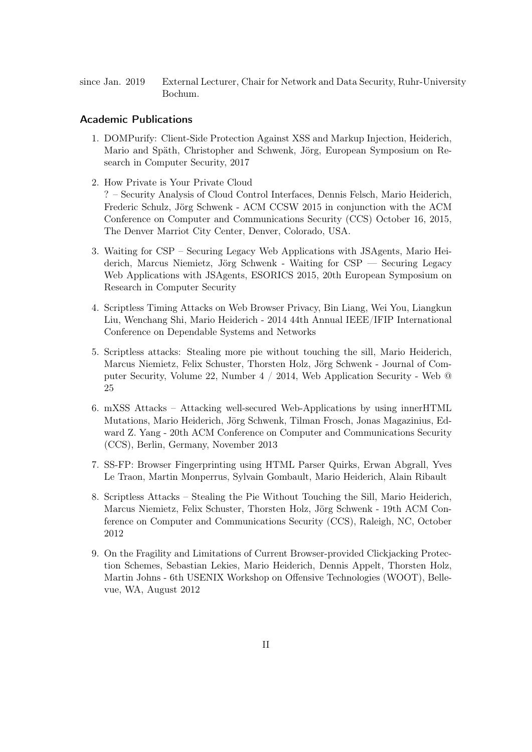since Jan. 2019 External Lecturer, Chair for Network and Data Security, Ruhr-University Bochum.

### Academic Publications

- 1. DOMPurify: Client-Side Protection Against XSS and Markup Injection, Heiderich, Mario and Späth, Christopher and Schwenk, Jörg, European Symposium on Research in Computer Security, 2017
- 2. How Private is Your Private Cloud ? – Security Analysis of Cloud Control Interfaces, Dennis Felsch, Mario Heiderich, Frederic Schulz, Jörg Schwenk - ACM CCSW 2015 in conjunction with the ACM Conference on Computer and Communications Security (CCS) October 16, 2015, The Denver Marriot City Center, Denver, Colorado, USA.
- 3. Waiting for CSP Securing Legacy Web Applications with JSAgents, Mario Heiderich, Marcus Niemietz, Jörg Schwenk - Waiting for CSP — Securing Legacy Web Applications with JSAgents, ESORICS 2015, 20th European Symposium on Research in Computer Security
- 4. Scriptless Timing Attacks on Web Browser Privacy, Bin Liang, Wei You, Liangkun Liu, Wenchang Shi, Mario Heiderich - 2014 44th Annual IEEE/IFIP International Conference on Dependable Systems and Networks
- 5. Scriptless attacks: Stealing more pie without touching the sill, Mario Heiderich, Marcus Niemietz, Felix Schuster, Thorsten Holz, Jörg Schwenk - Journal of Computer Security, Volume 22, Number 4 / 2014, Web Application Security - Web @ 25
- 6. mXSS Attacks Attacking well-secured Web-Applications by using innerHTML Mutations, Mario Heiderich, Jörg Schwenk, Tilman Frosch, Jonas Magazinius, Edward Z. Yang - 20th ACM Conference on Computer and Communications Security (CCS), Berlin, Germany, November 2013
- 7. SS-FP: Browser Fingerprinting using HTML Parser Quirks, Erwan Abgrall, Yves Le Traon, Martin Monperrus, Sylvain Gombault, Mario Heiderich, Alain Ribault
- 8. Scriptless Attacks Stealing the Pie Without Touching the Sill, Mario Heiderich, Marcus Niemietz, Felix Schuster, Thorsten Holz, Jörg Schwenk - 19th ACM Conference on Computer and Communications Security (CCS), Raleigh, NC, October 2012
- 9. On the Fragility and Limitations of Current Browser-provided Clickjacking Protection Schemes, Sebastian Lekies, Mario Heiderich, Dennis Appelt, Thorsten Holz, Martin Johns - 6th USENIX Workshop on Offensive Technologies (WOOT), Bellevue, WA, August 2012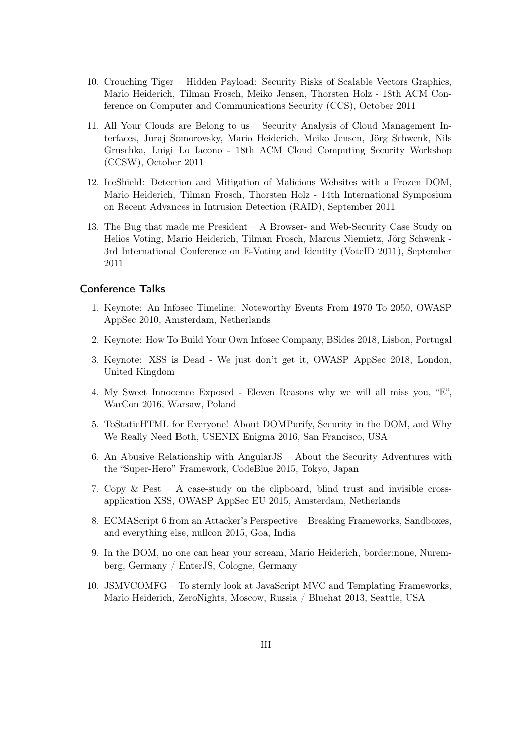- 10. Crouching Tiger Hidden Payload: Security Risks of Scalable Vectors Graphics, Mario Heiderich, Tilman Frosch, Meiko Jensen, Thorsten Holz - 18th ACM Conference on Computer and Communications Security (CCS), October 2011
- 11. All Your Clouds are Belong to us Security Analysis of Cloud Management Interfaces, Juraj Somorovsky, Mario Heiderich, Meiko Jensen, Jörg Schwenk, Nils Gruschka, Luigi Lo Iacono - 18th ACM Cloud Computing Security Workshop (CCSW), October 2011
- 12. IceShield: Detection and Mitigation of Malicious Websites with a Frozen DOM, Mario Heiderich, Tilman Frosch, Thorsten Holz - 14th International Symposium on Recent Advances in Intrusion Detection (RAID), September 2011
- 13. The Bug that made me President A Browser- and Web-Security Case Study on Helios Voting, Mario Heiderich, Tilman Frosch, Marcus Niemietz, Jörg Schwenk - 3rd International Conference on E-Voting and Identity (VoteID 2011), September 2011

### Conference Talks

- 1. Keynote: An Infosec Timeline: Noteworthy Events From 1970 To 2050, OWASP AppSec 2010, Amsterdam, Netherlands
- 2. Keynote: How To Build Your Own Infosec Company, BSides 2018, Lisbon, Portugal
- 3. Keynote: XSS is Dead We just don't get it, OWASP AppSec 2018, London, United Kingdom
- 4. My Sweet Innocence Exposed Eleven Reasons why we will all miss you, "E", WarCon 2016, Warsaw, Poland
- 5. ToStaticHTML for Everyone! About DOMPurify, Security in the DOM, and Why We Really Need Both, USENIX Enigma 2016, San Francisco, USA
- 6. An Abusive Relationship with AngularJS About the Security Adventures with the "Super-Hero" Framework, CodeBlue 2015, Tokyo, Japan
- 7. Copy & Pest A case-study on the clipboard, blind trust and invisible crossapplication XSS, OWASP AppSec EU 2015, Amsterdam, Netherlands
- 8. ECMAScript 6 from an Attacker's Perspective Breaking Frameworks, Sandboxes, and everything else, nullcon 2015, Goa, India
- 9. In the DOM, no one can hear your scream, Mario Heiderich, border:none, Nuremberg, Germany / EnterJS, Cologne, Germany
- 10. JSMVCOMFG To sternly look at JavaScript MVC and Templating Frameworks, Mario Heiderich, ZeroNights, Moscow, Russia / Bluehat 2013, Seattle, USA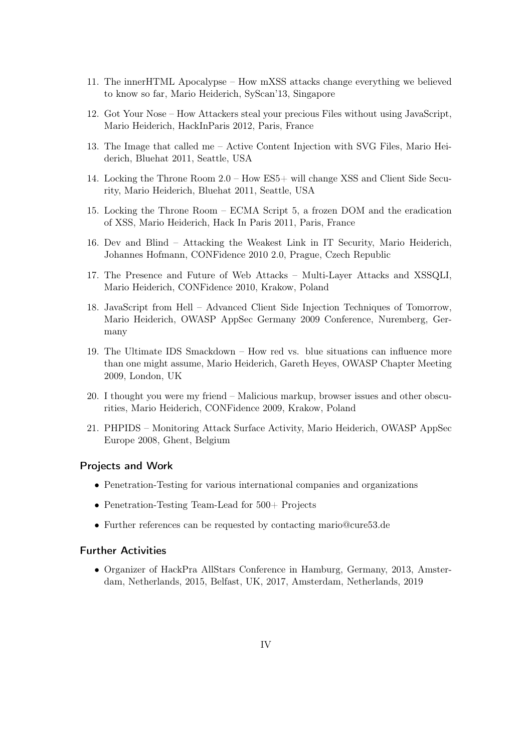- 11. The innerHTML Apocalypse How mXSS attacks change everything we believed to know so far, Mario Heiderich, SyScan'13, Singapore
- 12. Got Your Nose How Attackers steal your precious Files without using JavaScript, Mario Heiderich, HackInParis 2012, Paris, France
- 13. The Image that called me Active Content Injection with SVG Files, Mario Heiderich, Bluehat 2011, Seattle, USA
- 14. Locking the Throne Room 2.0 How ES5+ will change XSS and Client Side Security, Mario Heiderich, Bluehat 2011, Seattle, USA
- 15. Locking the Throne Room ECMA Script 5, a frozen DOM and the eradication of XSS, Mario Heiderich, Hack In Paris 2011, Paris, France
- 16. Dev and Blind Attacking the Weakest Link in IT Security, Mario Heiderich, Johannes Hofmann, CONFidence 2010 2.0, Prague, Czech Republic
- 17. The Presence and Future of Web Attacks Multi-Layer Attacks and XSSQLI, Mario Heiderich, CONFidence 2010, Krakow, Poland
- 18. JavaScript from Hell Advanced Client Side Injection Techniques of Tomorrow, Mario Heiderich, OWASP AppSec Germany 2009 Conference, Nuremberg, Germany
- 19. The Ultimate IDS Smackdown How red vs. blue situations can influence more than one might assume, Mario Heiderich, Gareth Heyes, OWASP Chapter Meeting 2009, London, UK
- 20. I thought you were my friend Malicious markup, browser issues and other obscurities, Mario Heiderich, CONFidence 2009, Krakow, Poland
- 21. PHPIDS Monitoring Attack Surface Activity, Mario Heiderich, OWASP AppSec Europe 2008, Ghent, Belgium

### Projects and Work

- Penetration-Testing for various international companies and organizations
- Penetration-Testing Team-Lead for 500+ Projects
- Further references can be requested by contacting mario@cure53.de

### Further Activities

• Organizer of HackPra AllStars Conference in Hamburg, Germany, 2013, Amsterdam, Netherlands, 2015, Belfast, UK, 2017, Amsterdam, Netherlands, 2019